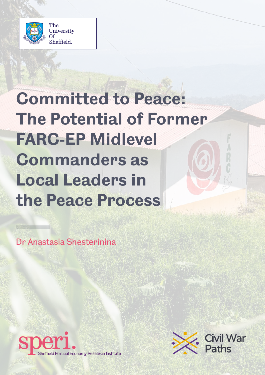

# **Committed to Peace: The Potential of Former FARC-EP Midlevel Commanders as Local Leaders in the Peace Process**

Dr Anastasia Shesterinina



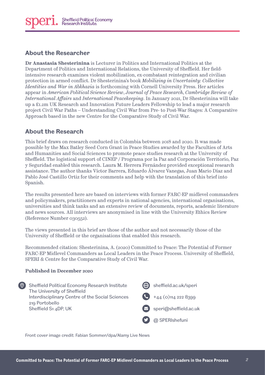#### **About the Researcher**

**Dr Anastasia Shesterinina** is Lecturer in Politics and International Politics at the Department of Politics and International Relations, the University of Sheffield. Her fieldintensive research examines violent mobilization, ex-combatant reintegration and civilian protection in armed conflict. Dr Shesterinina's book *Mobilizing in Uncertainty: Collective Identities and War in Abkhazia* is forthcoming with Cornell University Press. Her articles appear in *American Political Science Review*, *Journal of Peace Research*, *Cambridge Review of International Affairs* and *International Peacekeeping*. In January 2021, Dr Shesterinina will take up a £1.2m UK Research and Innovation Future Leaders Fellowship to lead a major research project Civil War Paths – Understanding Civil War from Pre- to Post-War Stages: A Comparative Approach based in the new Centre for the Comparative Study of Civil War.

#### **About the Research**

**Published in December 2020**

This brief draws on research conducted in Colombia between 2018 and 2020. It was made possible by the Max Batley Seed Corn Grant in Peace Studies awarded by the Faculties of Arts and Humanities and Social Sciences to promote peace studies research at the University of Sheffield. The logistical support of CINEP / Programa por la Paz and Corporación Territorio, Paz y Seguridad enabled this research. Laura M. Herrera Fernández provided exceptional research assistance. The author thanks Víctor Barrera, Eduardo Álvarez Vanegas, Juan Mario Díaz and Pablo José Castillo Ortiz for their comments and help with the translation of this brief into Spanish.

The results presented here are based on interviews with former FARC-EP midlevel commanders and policymakers, practitioners and experts in national agencies, international organisations, universities and think tanks and an extensive review of documents, reports, academic literature and news sources. All interviews are anonymised in line with the University Ethics Review (Reference Number 030552).

The views presented in this brief are those of the author and not necessarily those of the University of Sheffield or the organisations that enabled this research.

Recommended citation: Shesterinina, A. (2020) Committed to Peace: The Potential of Former FARC-EP Midlevel Commanders as Local Leaders in the Peace Process. University of Sheffield, SPERI & Centre for the Comparative Study of Civil War.

#### **O** Sheffield Political Economy Research Institute The University of Sheffield Interdisciplinary Centre of the Social Sciences 219 Portobello Sheffield S1 4DP, UK y (<del>(a)</del> [sheffield.ac.uk/speri](http://sheffield.ac.uk/speri) +44 (0)114 222 8399 [speri@sheffield.ac.uk](mailto:speri@sheffield.ac.uk) @ SPERIshefuni

Front cover image credit: Fabian Sommer/dpa/Alamy Live News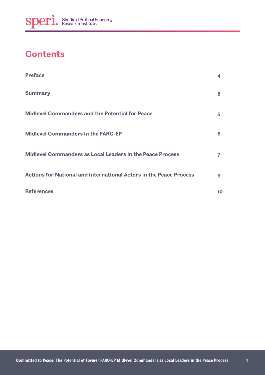## **Contents**

| <b>Preface</b>                                                     | 4           |
|--------------------------------------------------------------------|-------------|
| <b>Summary</b>                                                     | $5^{\circ}$ |
| <b>Midlevel Commanders and the Potential for Peace</b>             | $5^{\circ}$ |
| <b>Midlevel Commanders in the FARC-EP</b>                          | 6           |
| <b>Midlevel Commanders as Local Leaders in the Peace Process</b>   | 7           |
| Actions for National and International Actors in the Peace Process | 9           |
| <b>References</b>                                                  | 10          |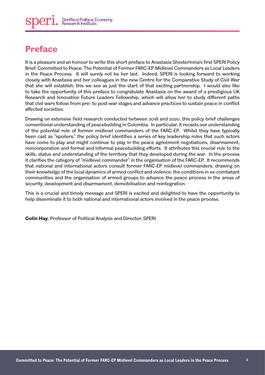#### **Preface**

It is a pleasure and an honour to write this short preface to Anastasia Shesterinina's first SPERI Policy Brief, Committed to Peace: The Potential of Former FARC-EP Midlevel Commanders as Local Leaders in the Peace Process. It will surely not be her last. Indeed, SPERI is looking forward to working closely with Anastasia and her colleagues in the new Centre for the Comparative Study of Civil War that she will establish; this we see as just the start of that exciting partnership. I would also like to take the opportunity of this preface to congratulate Anastasia on the award of a prestigious UK Research and Innovation Future Leaders Fellowship, which will allow her to study different paths that civil wars follow from pre- to post-war stages and advance practices to sustain peace in conflict affected societies.

Drawing on extensive field research conducted between 2018 and 2020, this policy brief challenges conventional understanding of peacebuilding in Colombia. In particular, it recasts our understanding of the potential role of former midlevel commanders of the FARC-EP. Whilst they have typically been cast as "spoilers," the policy brief identifies a series of key leadership roles that such actors have come to play and might continue to play in the peace agreement negotiations, disarmament, reincorporation and formal and informal peacebuilding efforts. It attributes this crucial role to the skills, status and understanding of the territory that they developed during the war. In the process it clarifies the category of "midlevel commander" in the organisation of the FARC-EP. It recommends that national and international actors consult former FARC-EP midlevel commanders, drawing on their knowledge of the local dynamics of armed conflict and violence, the conditions in ex-combatant communities and the organisation of armed groups to advance the peace process in the areas of security, development and disarmament, demobilisation and reintegration.

This is a crucial and timely message and SPERI is excited and delighted to have the opportunity to help disseminate it to both national and international actors involved in the peace process.

**Colin Hay**, Professor of Political Analysis and Director, SPERI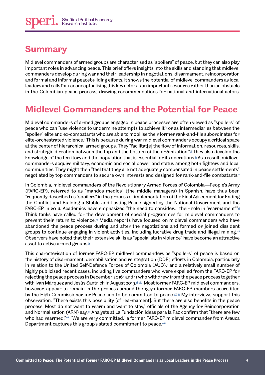#### **Summary**

Midlevel commanders of armed groups are characterised as "spoilers" of peace, but they can also play important roles in advancing peace. This brief offers insights into the skills and standing that midlevel commanders develop during war and their leadership in negotiations, disarmament, reincorporation and formal and informal peacebuilding efforts. It shows the potential of midlevel commanders as local leaders and calls for reconceptualising this key actor as an important resource rather than an obstacle in the Colombian peace process, drawing recommendations for national and international actors.

# **Midlevel Commanders and the Potential for Peace**

Midlevel commanders of armed groups engaged in peace processes are often viewed as "spoilers" of peace who can "use violence to undermine attempts to achieve it"[i](#page-9-0) or as intermediaries between the "spoiler" elite and ex-combatants who are able to mobilise their former rank-and-file subordinates for elite-orchestrated violence.[ii](#page-9-1) This is because during war midlevel commanders occupy a critical space at the center of hierarchical armed groups. They "facilitat[e] the flow of information, resources, skills, and strategic direction between the top and the bottom of the organization.". They also develop the knowledge of the territory and the population that is essential for its operations.<sup>\*</sup> As a result, midlevel commanders acquire military, economic and social power and status among both fighters and local communities. They might then "feel that they are not adequately compensated in peace settlements" negotiated by top commanders to secure own interests and designed for rank-and-file combatants.

In Colombia, midlevel commanders of the Revolutionary Armed Forces of Colombia—People's Army (FARC-EP), referred to as "mandos medios" (the middle managers) in Spanish, have thus been frequently described as "spoilers" in the process of implementation of the Final Agreement for Ending the Conflict and Building a Stable and Lasting Peace signed by the National Government and the FARC-EP in 2016. Academics have emphasized "the need to consider... their role in 'rearmament'." $\frac{1}{2}$ Think tanks have called for the development of special programmes for midlevel commanders to prevent their return to violence.<sup>ii</sup> Media reports have focused on midlevel commanders who have abandoned the peace process during and after the negotiations and formed or joined dissident groups to continue engaging in violent activities, including lucrative drug trade and illegal mining. $\equiv$ Observers have noted that their extensive skills as "specialists in violence" have become an attractive asset to active armed groups. $\mathbb{R}$ 

This characterisation of former FARC-EP midlevel commanders as "spoilers" of peace is based on the history of disarmament, demobilisation and reintegration (DDR) efforts in Colombia, particularly in relation to the United Self-Defence Forces of Colombia (AUC),<sup>x</sup> and a relatively small number of highly publicised recent cases, including five commanders who were expelled from the FARC-EP for rejecting the peace process in December 2016 $\leq$  and 11 who withdrew from the peace process together with Iván Márquez and Jesús Santrich in August 2019.<sup>xii Most former FARC-EP midlevel commanders,</sup> however, appear to remain in the process among the 13,511 former FARC-EP members accredited by the High Commissioner for Peace and to be committed to peace. $\mathbb{Z}$  My interviews support this observation. "There exists this possibility [of rearmament]. But there are also benefits in the peace process. Most do not want to rearm and want to stay," officials of the Agency for Reincorporation and Normalisation (ARN) say.<sup>xi</sup> Analysts at La Fundación Ideas para la Paz confirm that "there are few who had rearmed."[xvii](#page-10-8) "We are very committed," a former FARC-EP midlevel commander from Arauca Department captures this group's stated commitment to peace.xxiii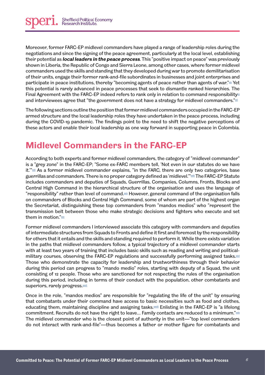Moreover, former FARC-EP midlevel commanders have played a range of leadership roles during the negotiations and since the signing of the peace agreement, particularly at the local level, establishing their potential as **local leaders in the peace process**. This "positive impact on peace" was previously shown in Liberia, the Republic of Congo and Sierra Leone, among other cases, where former midlevel commanders used the skills and standing that they developed during war to promote demilitarisation of their units, engage their former rank-and-file subordinates in businesses and joint enterprises and participate in peace institutions, thereby "becoming agents of peace rather than agents of war." $\cong$  Yet this potential is rarely advanced in peace processes that seek to dismantle ranked hierarchies. The Final Agreement with the FARC-EP indeed refers to rank only in relation to command responsibility $\mathbb{Z}$ and interviewees agree that "the government does not have a strategy for midlevel commanders." $\approx$ 

The following sections outline the position that former midlevel commanders occupied in the FARC-EP armed structure and the local leadership roles they have undertaken in the peace process, including during the COVID-19 pandemic. The findings point to the need to shift the negative perceptions of these actors and enable their local leadership as one way forward in supporting peace in Colombia.

## **Midlevel Commanders in the FARC-EP**

According to both experts and former midlevel commanders, the category of "midlevel commander" is a "grey zone" in the FARC-EP; "Some ex-FARC members tell, 'Not even in our statutes do we have it."<sup>201</sup> As a former midlevel commander explains, "in the FARC, there are only two categories, base guerrillas and commanders. There is no proper category defined as 'midlevel."<sup>xxiif</sup> The FARC-EP Statute includes commanders and deputies of Squads, Guerrillas, Companies, Columns, Fronts, Blocks and Central High Command in the hierarchical structure of the organisation and uses the language of "responsibility" rather than level of command. $\dot{w}$  However, general command of the organisation falls on commanders of Blocks and Central High Command, some of whom are part of the highest organ the Secretariat, distinguishing these top commanders from "mandos medios" who "represent the transmission belt between those who make strategic decisions and fighters who execute and set them in motion." $\frac{1}{2}$ xxv

Former midlevel commanders I interviewed associate this category with commanders and deputies of intermediate structures from Squads to Fronts and define it first and foremost by the responsibility for others that it entails and the skills and standing required to perform it. While there exists variation in the paths that midlevel commanders follow, a typical trajectory of a midlevel commander starts with at least two years of training that includes basic skills such as reading and writing and politicalmilitary courses, observing the FARC-EP regulations and successfully performing assigned tasks. $\frac{1}{2}$ Those who demonstrate the capacity for leadership and trustworthiness through their behavior during this period can progress to "mando medio" roles, starting with deputy of a Squad, the unit consisting of 12 people. Those who are sanctioned for not respecting the rules of the organisation during this period, including in terms of their conduct with the population, other combatants and superiors, rarely progress.[xxvii](#page-11-8)

Once in the role, "mandos medios" are responsible for "regulating the life of the unit" by ensuring that combatants under their command have access to basic necessities such as food and clothes, educating them, maintaining discipline and assigning tasks.xxxiii Enlisting in the FARC-EP is "a lifelong commitment. Recruits do not have the right to leave... Family contacts are reduced to a minimum." The midlevel commander who is the closest point of authority in the unit—"top level commanders do not interact with rank-and-file"—thus becomes a father or mother figure for combatants and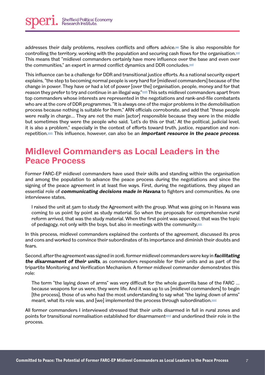addresses their daily problems, resolves conflicts and offers advice.<sup>xxx</sup> She is also responsible for controlling the territory, working with the population and securing cash flows for the organisation. $\frac{x}{x}$ This means that "midlevel commanders certainly have more influence over the base and even over the communities," an expert in armed conflict dynamics and DDR concludes.

This influence can be a challenge for DDR and transitional justice efforts. As a national security expert explains, "the step to becoming normal people is very hard for [midlevel commanders] because of the change in power. They have or had a lot of power [over the] organisation, people, money and for that reason they prefer to try and continue in an illegal way."<sup>xxxii</sup> This sets midlevel commanders apart from top commanders whose interests are represented in the negotiations and rank-and-file combatants who are at the core of DDR programmes. "It is always one of the major problems in the demobilisation process because nothing is suitable for them," ARN officials corroborate, and add that "these people were really in charge… They are not the main [actor] responsible because they were in the middle but sometimes they were the people who said, 'Let's do this or that.' At the political, judicial level, it is also a problem," especially in the context of efforts toward truth, justice, reparation and nonrepetition.<sup>xxxix</sup> This influence, however, can also be an *important resource in the peace process*.

#### **Midlevel Commanders as Local Leaders in the Peace Process**

Former FARC-EP midlevel commanders have used their skills and standing within the organisation and among the population to advance the peace process during the negotiations and since the signing of the peace agreement in at least five ways. First, during the negotiations, they played an essential role of **communicating decisions made in Havana** to fighters and communities. As one interviewee states,

I raised the unit at 5am to study the Agreement with the group. What was going on in Havana was coming to us point by point as study material. So when the proposals for comprehensive rural reform arrived, that was the study material. When the first point was approved, that was the topic of pedagogy, not only with the boys, but also in meetings with the community. $\frac{x}{x}$ 

In this process, midlevel commanders explained the contents of the agreement, discussed its pros and cons and worked to convince their subordinates of its importance and diminish their doubts and fears.

Second, after the agreement was signed in 2016, former midlevel commanders were key in **facilitating the disarmament of their units**, as commanders responsible for their units and as part of the tripartite Monitoring and Verification Mechanism. A former midlevel commander demonstrates this role:

The term "the laying down of arms" was very difficult for the whole guerrilla base of the FARC … because weapons for us were, they were life. And it was up to us [midlevel commanders] to begin [the process], those of us who had the most understanding to say what "the laying down of arms" meant, what its role was, and [we] implemented the process through subordination. $\frac{x}{x}$ 

All former commanders I interviewed stressed that their units disarmed in full in rural zones and points for transitional normalisation established for disarmament<sup>xxxxii</sup> and underlined their role in the process.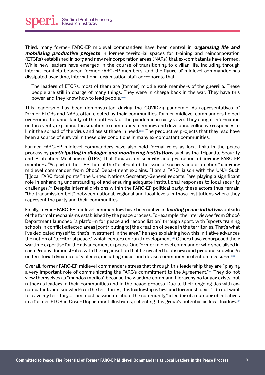

Third, many former FARC-EP midlevel commanders have been central in **organising life and mobilising productive projects** in former territorial spaces for training and reincorporation (ETCRs) established in 2017 and new reincorporation areas (NARs) that ex-combatants have formed. While new leaders have emerged in the course of transitioning to civilian life, including through internal conflicts between former FARC-EP members, and the figure of midlevel commander has dissipated over time, international organisation staff corroborate that

The leaders of ETCRs, most of them are [former] middle rank members of the guerrilla. These people are still in charge of many things. They were in charge back in the war. They have this power and they know how to lead people[.xxxviii](#page-12-3)

This leadership has been demonstrated during the COVID-19 pandemic. As representatives of former ETCRs and NARs, often elected by their communities, former midlevel commanders helped overcome the uncertainty of the outbreak of the pandemic in early 2020. They sought information on the events, explained the situation to community members and developed collective responses to limit the spread of the virus and assist those in need. $\frac{x}{x}$  The productive projects that they lead have been a source of survival in these dire conditions in many ex-combatant communities.

Former FARC-EP midlevel commanders have also held formal roles as local links in the peace process by **participating in dialogue and monitoring institutions** such as the Tripartite Security and Protection Mechanism (ITPS) that focuses on security and protection of former FARC-EP members. "As part of the ITPS, I am at the forefront of the issue of security and protection," a former midlevel commander from Chocó Department explains, "I am a FARC liaison with the UN."<sup>\*</sup> Such "[l]ocal FARC focal points," the United Nations Secretary-General reports, "are playing a significant role in enhancing understanding of and ensuring adequate institutional responses to local security challenges. $\mathbb{Z}^{\omega}$  Despite internal divisions within the FARC-EP political party, these actors thus remain "the transmission belt" between national, regional and local levels in those institutions where they represent the party and their communities.

Finally, former FARC-EP midlevel commanders have been active in **leading peace initiatives** outside of the formal mechanisms established by the peace process. For example, the interviewee from Chocó Department launched "a platform for peace and reconciliation" through sport, with "sports training schools in conflict-affected areas [contributing to] the creation of peace in the territories. That's what I've dedicated myself to, that's investment in the area," he says explaining how this initiative advances the notion of "territorial peace," which centers on rural development.<sup>xii</sup> Others have repurposed their wartime expertise for the advancement of peace. One former midlevel commander who specialised in cartography demonstrates with the organisation that he created to observe and produce knowledge on territorial dynamics of violence, including maps, and devise community protection measures.

Overall, former FARC-EP midlevel commanders stress that through this leadership they are "playing a very important role of communicating the FARC's commitment to the Agreement."<sup>[xliv](#page-12-9)</sup> They do not view themselves as "mandos medios" because the wartime command hierarchy no longer exists, but rather as leaders in their communities and in the peace process. Due to their ongoing ties with excombatants and knowledge of the territories, this leadership is first and foremost local. "I do not want to leave my territory… I am most passionate about the community," a leader of a number of initiatives in a former ETCR in Cesar Department illustrates, reflecting this group's potential as local leaders. $\mathbb{Z}$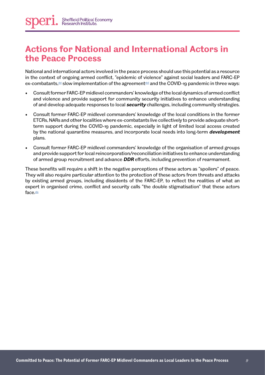#### **Actions for National and International Actors in the Peace Process**

National and international actors involved in the peace process should use this potential as a resource in the context of ongoing armed conflict, "epidemic of violence" against social leaders and FARC-EP ex-combatants, $\omega$  slow implementation of the agreement  $\omega$  and the COVID-19 pandemic in three ways:

- Consult former FARC-EP midlevel commanders' knowledge of the local dynamics of armed conflict and violence and provide support for community security initiatives to enhance understanding of and develop adequate responses to local **security** challenges, including community strategies.
- Consult former FARC-EP midlevel commanders' knowledge of the local conditions in the former ETCRs, NARs and other localities where ex-combatants live collectively to provide adequate shortterm support during the COVID-19 pandemic, especially in light of limited local access created by the national quarantine measures, and incorporate local needs into long-term **development** plans.
- Consult former FARC-EP midlevel commanders' knowledge of the organisation of armed groups and provide support for local reincorporation/reconciliation initiatives to enhance understanding of armed group recruitment and advance **DDR** efforts, including prevention of rearmament.

These benefits will require a shift in the negative perceptions of these actors as "spoilers" of peace. They will also require particular attention to the protection of these actors from threats and attacks by existing armed groups, including dissidents of the FARC-EP, to reflect the realities of what an expert in organised crime, conflict and security calls "the double stigmatisation" that these actors face[.xlix](#page-12-13)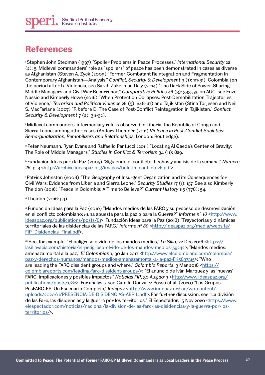#### **References**

<span id="page-9-0"></span>i Stephen John Stedman (1997) "Spoiler Problems in Peace Processes," *International Security* 22 (2): 5. Midlevel commanders' role as "spoilers" of peace has been demonstrated in cases as diverse as Afghanistan (Steven A. Zyck (2009) "Former Combatant Reintegration and Fragmentation in Contemporary Afghanistan—Analysis," *Conflict, Security & Development* 9 (1): 111-31), Colombia (on the period after La Violencia, see Sarah Zukerman Daly (2014) "The Dark Side of Power-Sharing: Middle Managers and Civil War Recurrence," *Comparative Politics* 46 (3): 333-53; on AUC, see Enzo Nussio and Kimberly Howe (2016) "When Protection Collapses: Post-Demobilization Trajectories of Violence," *Terrorism and Political Violence* 28 (5): 848-67) and Tajikistan (Stina Torjesen and Neil S. MacFarlane (2007) "R before D: The Case of Post-Conflict Reintegration in Tajikistan," *Conflict, Security & Development* 7 (2): 311-32).

<span id="page-9-1"></span>ii Midlevel commanders' intermediary role is observed in Liberia, the Republic of Congo and Sierra Leone, among other cases (Anders Themnér (2011) *Violence in Post-Conflict Societies: Remarginalization, Remobilizers and Relationships*, London: Routledge).

<span id="page-9-2"></span>iii Peter Neumann, Ryan Evans and Raffaello Pantucci (2011) "Locating Al Qaeda's Center of Gravity: The Role of Middle Managers," *Studies in Conflict & Terrorism* 34 (11): 829.

<span id="page-9-3"></span>iv Fundación Ideas para la Paz (2005) "Siguiendo el conflicto: hechos y análisis de la semana," *Número*  26, p. 3 [<http://archive.ideaspaz.org/images/boletin\\_conflicto26.pdf>](http://archive.ideaspaz.org/images/boletin_conflicto26.pdf).

<span id="page-9-4"></span>v Patrick Johnston (2008) "The Geography of Insurgent Organization and its Consequences for Civil Wars: Evidence from Liberia and Sierra Leone," *Security Studies* 17 (1): 137. See also Kimberly Theidon (2016) "Peace in Colombia: A Time to Believe?" *Current History* 115 (778): 54.

<span id="page-9-5"></span> $v$ Theidon (2016: 54).

<span id="page-9-6"></span>vii Fundación Ideas para la Paz (2010) "Mandos medios de las FARC y su proceso de desmovilización en el conflicto colombiano: *duna apuesta para la pazo para la Guerra*?" *Informe nº 10* [<http://www.](http://www.ideaspaz.org/publications/posts/81) [ideaspaz.org/publications/posts/81>](http://www.ideaspaz.org/publications/posts/81); Fundación Ideas para la Paz (2018) "Trayectorias y dinámicas territoriales de las disidencias de las FARC," *Informe nº 30* <[http://ideaspaz.org/media/website/](http://ideaspaz.org/media/website/FIP_Disidencias_Final.pdf) [FIP\\_Disidencias\\_Final.pdf>](http://ideaspaz.org/media/website/FIP_Disidencias_Final.pdf).

<span id="page-9-7"></span>viii See, for example, "El peligroso olvido de los mandos medios," *La Silla*, 22 Dec 2016 <[https://](https://lasillavacia.com/historia/el-peligroso-olvido-de-los-mandos-medios-59242) [lasillavacia.com/historia/el-peligroso-olvido-de-los-mandos-medios-59242>](https://lasillavacia.com/historia/el-peligroso-olvido-de-los-mandos-medios-59242); "Mandos medios: amenaza mortal a la paz," *El Colombiano*, 30 Jan 2017 <[http://www.elcolombiano.com/colombia/](http://www.elcolombiano.com/colombia/paz-y-derechos-humanos/mandos-medios-amenazamortal-a-la-paz-FK5837315) [paz-y-derechos-humanos/mandos-medios-amenazamortal-a-la-paz-FK5837315](http://www.elcolombiano.com/colombia/paz-y-derechos-humanos/mandos-medios-amenazamortal-a-la-paz-FK5837315)>; "Who are leading the FARC dissident groups and where," *Colombia Reports*, 3 Mar 2018 [<https://](https://colombiareports.com/leading-farc-dissident-groups/) [colombiareports.com/leading-farc-dissident-groups/](https://colombiareports.com/leading-farc-dissident-groups/)>; "El anuncio de Iván Márquez y las 'nuevas' FARC: implicaciones y posibles impactos," *Noticias FIP*, 30 Aug 2019 [<http://www.ideaspaz.org/](http://www.ideaspaz.org/publications/posts/1782) [publications/posts/1782](http://www.ideaspaz.org/publications/posts/1782)>. For analysis, see Camilo González Posso et al. (2020) "Los Grupos PosFARC-EP: Un Escenario Complejo," *Indepaz* [<http://www.indepaz.org.co/wp-content/](http://www.indepaz.org.co/wp-content/uploads/2020/11/PRESENCIA-DE-DISIDENCIAS-ABRIL.pdf) [uploads/2020/11/PRESENCIA-DE-DISIDENCIAS-ABRIL.pdf](http://www.indepaz.org.co/wp-content/uploads/2020/11/PRESENCIA-DE-DISIDENCIAS-ABRIL.pdf)>. For further discussion, see "La división de las Farc, las disidencias y la guerra por los territorios," El Espectador, 15 Nov 2020 <[https://www.](https://www.elespectador.com/noticias/nacional/la-division-de-las-farc-las-disidencias-y-la-guerra-p) [elespectador.com/noticias/nacional/la-division-de-las-farc-las-disidencias-y-la-guerra-por-los](https://www.elespectador.com/noticias/nacional/la-division-de-las-farc-las-disidencias-y-la-guerra-p)[territorios/>](https://www.elespectador.com/noticias/nacional/la-division-de-las-farc-las-disidencias-y-la-guerra-p).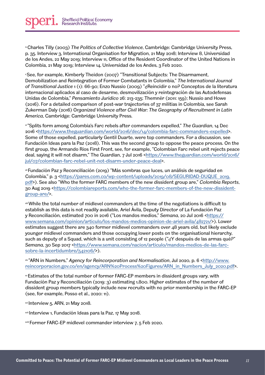<span id="page-10-0"></span>ix Charles Tilly (2003) *The Politics of Collective Violence*, Cambridge: Cambridge University Press, p. 35. Interview 3, International Organisation for Migration, 21 May 2018; Interview 8, Universidad de los Andes, 22 May 2019; Interview 11, Office of the Resident Coordinator of the United Nations in Colombia, 21 May 2019; Interview 14, Universidad de los Andes, 3 Feb 2020.

<span id="page-10-1"></span>x See, for example, Kimberly Theidon (2007) "Transitional Subjects: The Disarmament, Demobilization and Reintegration of Former Combatants in Colombia," *The International Journal of Transitional Justice* 1 (1): 66-90; Enzo Nussio (2009) "¿Reincidir o no? Conceptos de la literatura internacional aplicados al caso de desarme, desmovilización y reintegración de las Autodefensas Unidas de Colombia," *Pensamiento Jurídico* 26: 213-235; Themnér (2011: 159); Nussio and Howe (2016). For a detailed comparison of post-war trajectories of 37 militias in Colombia, see Sarah Zukerman Daly (2016) O*rganized Violence after Civil War: The Geography of Recruitment in Latin America*, Cambridge: Cambridge University Press.

<span id="page-10-2"></span>xi "Splits form among Colombia's Farc rebels after commanders expelled," *The Guardian*, 14 Dec 2016 <[https://www.theguardian.com/world/2016/dec/14/colombia-farc-commanders-expelled>](https://www.theguardian.com/world/2016/dec/14/colombia-farc-commanders-expelled). Some of those expelled, particularly Gentil Duarte, were top commanders. For a discussion, see Fundación Ideas para la Paz (2018). This was the second group to oppose the peace process. On the first group, the Armando Rios First Front, see, for example, "Colombian Farc rebel unit rejects peace deal, saying it will not disarm," The Guardian, 7 Jul 2016 <[https://www.theguardian.com/world/2016/](https://www.theguardian.com/world/2016/jul/07/colombian-farc-rebel-unit-not-disarm-under-peace-deal) [jul/07/colombian-farc-rebel-unit-not-disarm-under-peace-deal>](https://www.theguardian.com/world/2016/jul/07/colombian-farc-rebel-unit-not-disarm-under-peace-deal).

<span id="page-10-3"></span>xii Fundación Paz y Reconciliación (2019) "Más sombras que luces, un análisis de seguridad en Colombia," p. 3 <[https://pares.com.co/wp-content/uploads/2019/08/SEGURIDAD-DUQUE\\_2019.](https://pares.com.co/wp-content/uploads/2019/08/SEGURIDAD-DUQUE_2019.pdf) [pdf](https://pares.com.co/wp-content/uploads/2019/08/SEGURIDAD-DUQUE_2019.pdf)>). See also "Who the former FARC members of the new dissident group are," *Colombia Reports*, 30 Aug 2019 [<https://colombiareports.com/who-the-former-farc-members-of-the-new-dissident](https://colombiareports.com/who-the-former-farc-members-of-the-new-dissident-group-are/)[group-are/](https://colombiareports.com/who-the-former-farc-members-of-the-new-dissident-group-are/)>.

<span id="page-10-4"></span>xiii While the total number of midlevel commanders at the time of the negotiations is difficult to establish as this data is not readily available, Ariel Ávila, Deputy Director of La Fundación Paz y Reconciliación, estimated 700 in 2016 ("Los mandos medios," *Semana*, 20 Jul 2016 <[https://](https://www.semana.com/opinion/articulo/los-mandos-medios-opinion-de-ariel-avila/482721/) [www.semana.com/opinion/articulo/los-mandos-medios-opinion-de-ariel-avila/482721/](https://www.semana.com/opinion/articulo/los-mandos-medios-opinion-de-ariel-avila/482721/)>). Lower estimates suggest there are 340 former midlevel commanders over 48 years old, but likely exclude younger midlevel commanders and those occupying lower posts on the organisational hierarchy, such as deputy of a Squad, which is a unit consisting of 12 people ("d'Y después de las armas qué?" *Semana*, 30 Sep 2017 [<https://www.semana.com/nacion/articulo/mandos-medios-de-las-farc](https://www.semana.com/nacion/articulo/mandos-medios-de-las-farc-sobre-la-incertidumbre/542106/)[sobre-la-incertidumbre/542106/>](https://www.semana.com/nacion/articulo/mandos-medios-de-las-farc-sobre-la-incertidumbre/542106/)).

<span id="page-10-5"></span>xiv "ARN in Numbers," *Agency for Reincorporation and Normalisation*, Jul 2020, p. 6 <[http://www.](http://www.reincorporacion.gov.co/en/agency/ARN%20Process%20Figures/ARN_in_Numbers_July_2020.pdf) [reincorporacion.gov.co/en/agency/ARN%20Process%20Figures/ARN\\_in\\_Numbers\\_July\\_2020.pdf](http://www.reincorporacion.gov.co/en/agency/ARN%20Process%20Figures/ARN_in_Numbers_July_2020.pdf)>.

<span id="page-10-6"></span>xv Estimates of the total number of former FARC-EP members in dissident groups vary, with Fundación Paz y Reconciliación (2019: 3) estimating 1,800. Higher estimates of the number of dissident group members typically include new recruits with no prior membership in the FARC-EP (see, for example, Posso et al., 2020: 11).

<span id="page-10-7"></span> $x^2$  Interview 5, ARN, 21 May 2018.

<span id="page-10-8"></span>xvii Interview 1, Fundación Ideas para la Paz, 17 May 2018.

<span id="page-10-9"></span>xviii Former FARC-EP midlevel commander interview 7, 5 Feb 2020.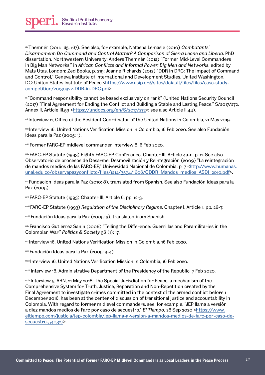<span id="page-11-0"></span>xix Themnér (2011: 165, 167). See also, for example, Natasha Lemasle (2010) *Combatants' Disarmament: Do Command and Control Matter? A Comparison of Sierra Leone and Liberia*. PhD dissertation, Northwestern University; Anders Themnér (2012) "Former Mid-Level Commanders in Big Man Networks," in *African Conflicts and Informal Power: Big Men and Networks*, edited by Mats Utas, London: Zed Books, p. 219; Joanne Richards (2012) "DDR in DRC: The Impact of Command and Control," Geneva Institute of International and Development Studies, United Washington, DC: United States Institute of Peace [<https://www.usip.org/sites/default/files/files/case-study](https://www.usip.org/sites/default/files/files/case-study-competition/20130322-DDR-in-DRC.pdf)[competition/20130322-DDR-in-DRC.pdf](https://www.usip.org/sites/default/files/files/case-study-competition/20130322-DDR-in-DRC.pdf)>.

<span id="page-11-1"></span>xx "Command responsibility cannot be based exclusively on rank" (United Nations Security Council (2017) "Final Agreement for Ending the Conflict and Building a Stable and Lasting Peace," S/2017/272, Annex II, Article III.59 <[https://undocs.org/en/S/2017/272>](https://undocs.org/en/S/2017/272); see also Article II.44).

<span id="page-11-2"></span><sup>∞i</sup> Interview 11, Office of the Resident Coordinator of the United Nations in Colombia, 21 May 2019.

<span id="page-11-3"></span>xxii Interview 16, United Nations Verification Mission in Colombia, 16 Feb 2020. See also Fundación Ideas para la Paz (2005: 1).

<span id="page-11-4"></span>xxiii Former FARC-EP midlevel commander interview 8, 6 Feb 2020.

<span id="page-11-5"></span>xxiv FARC-EP Statute (1993) Eighth FARC-EP Conference, Chapter III, Article 4a-n, p. 11. See also Observatorio de procesos de Desarme, Desmovilización y Reintegración (2009) "La reintegración de mandos medios de las FARC-EP," Universidad Nacional de Colombia, p. 7 [<http://www.humanas.](http://www.humanas.unal.edu.co/observapazyconflicto/files/1214/3594/1606/ODDR_Mandos_medios_ASDI_201) [unal.edu.co/observapazyconflicto/files/1214/3594/1606/ODDR\\_Mandos\\_medios\\_ASDI\\_2010.pdf](http://www.humanas.unal.edu.co/observapazyconflicto/files/1214/3594/1606/ODDR_Mandos_medios_ASDI_201)>.

<span id="page-11-6"></span>xxv Fundación Ideas para la Paz (2010: 8), translated from Spanish. See also Fundación Ideas para la Paz (2005).

<span id="page-11-7"></span>xxvi FARC-EP Statute (1993) Chapter III, Article 6, pp. 12-3.

<span id="page-11-8"></span>xxvii FARC-EP Statute (1993) *Regulation of the Disciplinary Regime*, Chapter I, Article 1, pp. 26-7.

<span id="page-11-9"></span>xxviii Fundación Ideas para la Paz (2005: 3), translated from Spanish.

<span id="page-11-10"></span>xxix Francisco Gutiérrez Sanín (2008) "Telling the Difference: Guerrillas and Paramilitaries in the Colombian War," *Politics & Society* 36 (1): 17.

<span id="page-11-11"></span>xxx Interview 16, United Nations Verification Mission in Colombia, 16 Feb 2020.

<span id="page-11-12"></span>xxxi Fundación Ideas para la Paz (2005: 3-4).

<span id="page-11-13"></span>xxxii Interview 16, United Nations Verification Mission in Colombia, 16 Feb 2020.

<span id="page-11-14"></span>xxxiii Interview 18, Administrative Department of the Presidency of the Republic, 7 Feb 2020.

<span id="page-11-15"></span>xxxiv Interview 5, ARN, 21 May 2018. The Special Jurisdiction for Peace, a mechanism of the Comprehensive System for Truth, Justice, Reparation and Non-Repetition created by the Final Agreement to investigate crimes committed in the context of the armed conflict before 1 December 2016, has been at the center of discussion of transitional justice and accountability in Colombia. With regard to former midlevel commanders, see, for example, "JEP llama a versión a diez mandos medios de Farc por caso de secuestro," *El Tiempo*, 28 Sep 2020 [<https://www.](https://www.eltiempo.com/justicia/jep-colombia/jep-llama-a-version-a-mandos-medios-de-farc-por-caso-) [eltiempo.com/justicia/jep-colombia/jep-llama-a-version-a-mandos-medios-de-farc-por-caso-de](https://www.eltiempo.com/justicia/jep-colombia/jep-llama-a-version-a-mandos-medios-de-farc-por-caso-)[secuestro-540327](https://www.eltiempo.com/justicia/jep-colombia/jep-llama-a-version-a-mandos-medios-de-farc-por-caso-)>.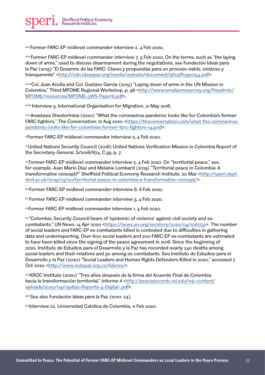<span id="page-12-0"></span>xxxv Former FARC-EP midlevel commander interview 2, 4 Feb 2020.

<span id="page-12-1"></span> $x_{x}$  Former FARC-EP midlevel commander interview 7, 5 Feb 2020. On the terms, such as "the laying down of arms," used to discuss disarmament during the negotiations, see Fundación Ideas para la Paz (2015) "El Desarme de las FARC: Claves y propuestas para un proceso viable, existoso y transparente" [<http://cdn.ideaspaz.org/media/website/document/5605ff09ec154.pdf](http://cdn.ideaspaz.org/media/website/document/5605ff09ec154.pdf)>.

<span id="page-12-2"></span>xxxvii Col. Juan Acuña and Col. Gustavo García (2019) "Laying down of arms in the UN Mission in Colombia," Third MPOME Regional Workshop, p. 96 <[http://www.smallarmssurvey.org/fileadmin/](http://www.smallarmssurvey.org/fileadmin/MPOME/resources/MPOME-3WS-Paper6.pdf) [MPOME/resources/MPOME-3WS-Paper6.pdf](http://www.smallarmssurvey.org/fileadmin/MPOME/resources/MPOME-3WS-Paper6.pdf)>.

<span id="page-12-3"></span>xxxviii Interview 3, International Organisation for Migration, 21 May 2018.

<span id="page-12-4"></span>xxxix Anastasia Shesterinina (2020) "What the coronavirus pandemic looks like for Colombia's former FARC fighters," The Conversation, 12 Aug 2020 <[https://theconversation.com/what-the-coronavirus](https://theconversation.com/what-the-coronavirus-pandemic-looks-like-for-colombias-former-farc-fight)[pandemic-looks-like-for-colombias-former-farc-fighters-144018](https://theconversation.com/what-the-coronavirus-pandemic-looks-like-for-colombias-former-farc-fight)>.

<span id="page-12-5"></span>xl Former FARC-EP midlevel commander interview 2, 4 Feb 2020.

<span id="page-12-6"></span>xli United Nations Security Council (2018) United Nations Verification Mission in Colombia Report of the Secretary-General, S/2018/874, C.39, p. 7.

<span id="page-12-7"></span>xiii Former FARC-EP midlevel commander interview 2, 4 Feb 2020. On "territorial peace," see, for example, Juan Mario Diaz and Melanie Lombard (2019) "Territorial peace in Colombia: A transformative concept?" Sheffield Political Economy Research Institute, 20 Mar [<http://speri.dept.](http://speri.dept.shef.ac.uk/2019/03/20/territorial-peace-in-colombia-a-transformative-concept/) [shef.ac.uk/2019/03/20/territorial-peace-in-colombia-a-transformative-concept/>](http://speri.dept.shef.ac.uk/2019/03/20/territorial-peace-in-colombia-a-transformative-concept/).

<span id="page-12-8"></span>xliii Former FARC-EP midlevel commander interview 8, 6 Feb 2020.

<span id="page-12-9"></span>xliv Former FARC-EP midlevel commander interview 3, 4 Feb 2020.

<span id="page-12-10"></span> $x^*$  Former FARC-EP midlevel commander interview 1,  $\Delta$  Feb 2020.

<span id="page-12-11"></span>xlvi "Colombia: Security Council hears of 'epidemic of violence' against civil society and excombatants," UN News, 14 Apr 2020 [<https://news.un.org/en/story/2020/04/1061732](https://news.un.org/en/story/2020/04/1061732)>. The number of social leaders and FARC-EP ex-combatants killed is contested due to difficulties in gathering data and underreporting. Over 600 social leaders and 200 FARC-EP ex-combatants are estimated to have been killed since the signing of the peace agreement in 2016. Since the beginning of 2020, Instituto de Estudios para el Desarrollo y la Paz has recorded nearly 240 deaths among social leaders and their relatives and 50 among ex-combatants. See Instituto de Estudios para el Desarrollo y la Paz (2020) "Social Leaders and Human Rights Defenders Killed in 2020," accessed 7 Oct 2020 [<http://www.indepaz.org.co/lideres/](http://www.indepaz.org.co/lideres/)>.

<span id="page-12-12"></span>xlvii KROC Institute (2020) "Tres años después de la firma del Acuerdo Final de Colombia: hacia la transformación territorial," *Informe 4* [<http://peaceaccords.nd.edu/wp-content/](http://peaceaccords.nd.edu/wp-content/uploads/2020/09/091620-Reporte-4-Digital-.pdf) [uploads/2020/09/091620-Reporte-4-Digital-.pdf](http://peaceaccords.nd.edu/wp-content/uploads/2020/09/091620-Reporte-4-Digital-.pdf)>.

xlviii See also Fundación Ideas para la Paz (2010: 24).

<span id="page-12-13"></span>xlix Interview 22, Universidad Católica de Colombia, 11 Feb 2020.